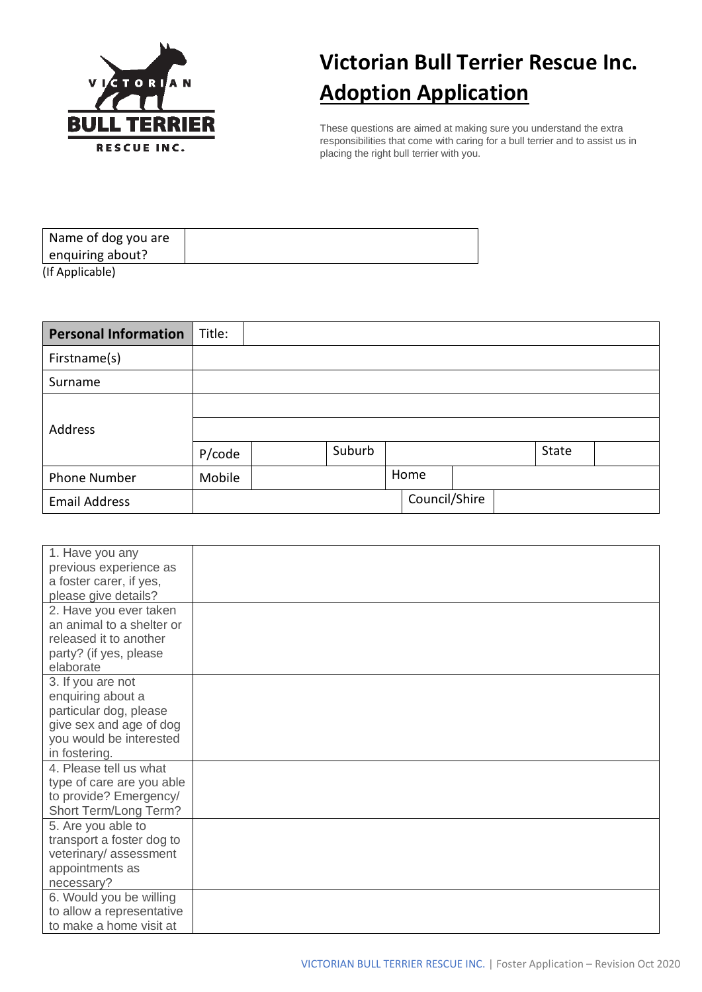

## **Victorian Bull Terrier Rescue Inc. Adoption Application**

These questions are aimed at making sure you understand the extra responsibilities that come with caring for a bull terrier and to assist us in placing the right bull terrier with you.

| Name of dog you are |  |
|---------------------|--|
| enquiring about?    |  |
| (If Applicable)     |  |

| <b>Personal Information</b> | Title: |        |               |  |       |  |
|-----------------------------|--------|--------|---------------|--|-------|--|
| Firstname(s)                |        |        |               |  |       |  |
| Surname                     |        |        |               |  |       |  |
|                             |        |        |               |  |       |  |
| Address                     |        |        |               |  |       |  |
|                             | P/code | Suburb |               |  | State |  |
| <b>Phone Number</b>         | Mobile |        | Home          |  |       |  |
| <b>Email Address</b>        |        |        | Council/Shire |  |       |  |

| 1. Have you any           |  |
|---------------------------|--|
| previous experience as    |  |
| a foster carer, if yes,   |  |
| please give details?      |  |
| 2. Have you ever taken    |  |
| an animal to a shelter or |  |
| released it to another    |  |
| party? (if yes, please    |  |
| elaborate                 |  |
| 3. If you are not         |  |
| enquiring about a         |  |
| particular dog, please    |  |
| give sex and age of dog   |  |
| you would be interested   |  |
| in fostering.             |  |
| 4. Please tell us what    |  |
| type of care are you able |  |
| to provide? Emergency/    |  |
| Short Term/Long Term?     |  |
| 5. Are you able to        |  |
| transport a foster dog to |  |
| veterinary/assessment     |  |
| appointments as           |  |
| necessary?                |  |
| 6. Would you be willing   |  |
| to allow a representative |  |
| to make a home visit at   |  |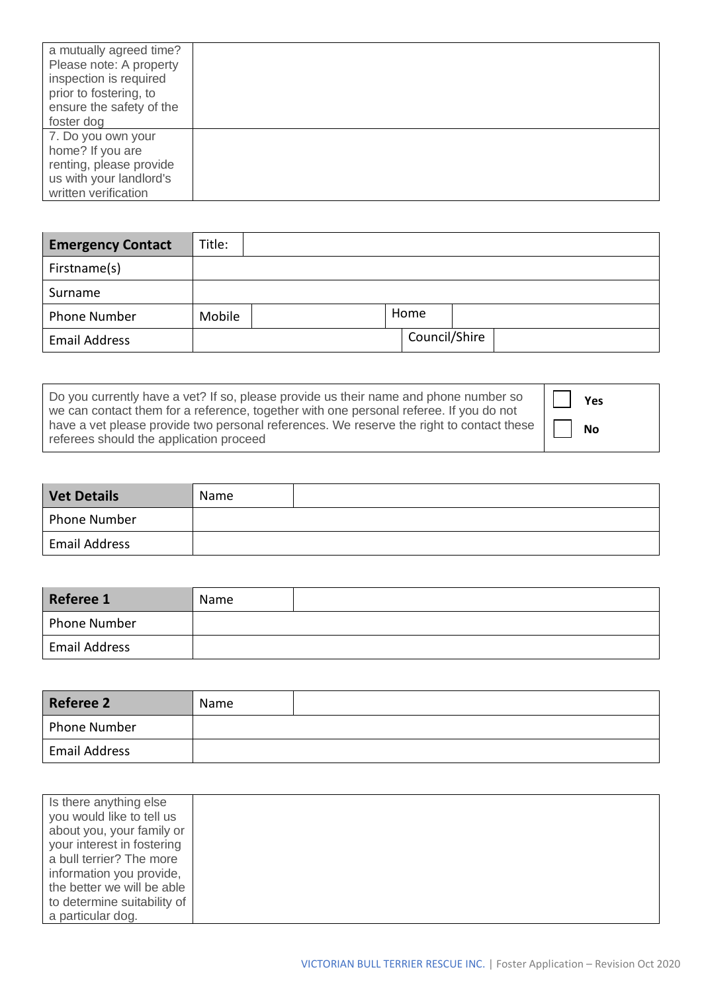| a mutually agreed time?<br>Please note: A property<br>inspection is required<br>prior to fostering, to<br>ensure the safety of the<br>foster dog |  |
|--------------------------------------------------------------------------------------------------------------------------------------------------|--|
| 7. Do you own your<br>home? If you are<br>renting, please provide<br>us with your landlord's<br>written verification                             |  |

| <b>Emergency Contact</b> | Title: |  |               |  |
|--------------------------|--------|--|---------------|--|
| Firstname(s)             |        |  |               |  |
| Surname                  |        |  |               |  |
| <b>Phone Number</b>      | Mobile |  | Home          |  |
| <b>Email Address</b>     |        |  | Council/Shire |  |

| Do you currently have a vet? If so, please provide us their name and phone number so<br>we can contact them for a reference, together with one personal referee. If you do not | Yes       |
|--------------------------------------------------------------------------------------------------------------------------------------------------------------------------------|-----------|
| have a vet please provide two personal references. We reserve the right to contact these<br>referees should the application proceed                                            | <b>No</b> |

| Vet Details          | Name |  |
|----------------------|------|--|
| Phone Number         |      |  |
| <b>Email Address</b> |      |  |

| Referee 1            | Name |  |
|----------------------|------|--|
| Phone Number         |      |  |
| <b>Email Address</b> |      |  |

| <b>Referee 2</b>     | Name |  |
|----------------------|------|--|
| <b>Phone Number</b>  |      |  |
| <b>Email Address</b> |      |  |

| Is there anything else      |  |
|-----------------------------|--|
| you would like to tell us   |  |
| about you, your family or   |  |
| your interest in fostering  |  |
| a bull terrier? The more    |  |
| information you provide,    |  |
| the better we will be able  |  |
| to determine suitability of |  |
| a particular dog.           |  |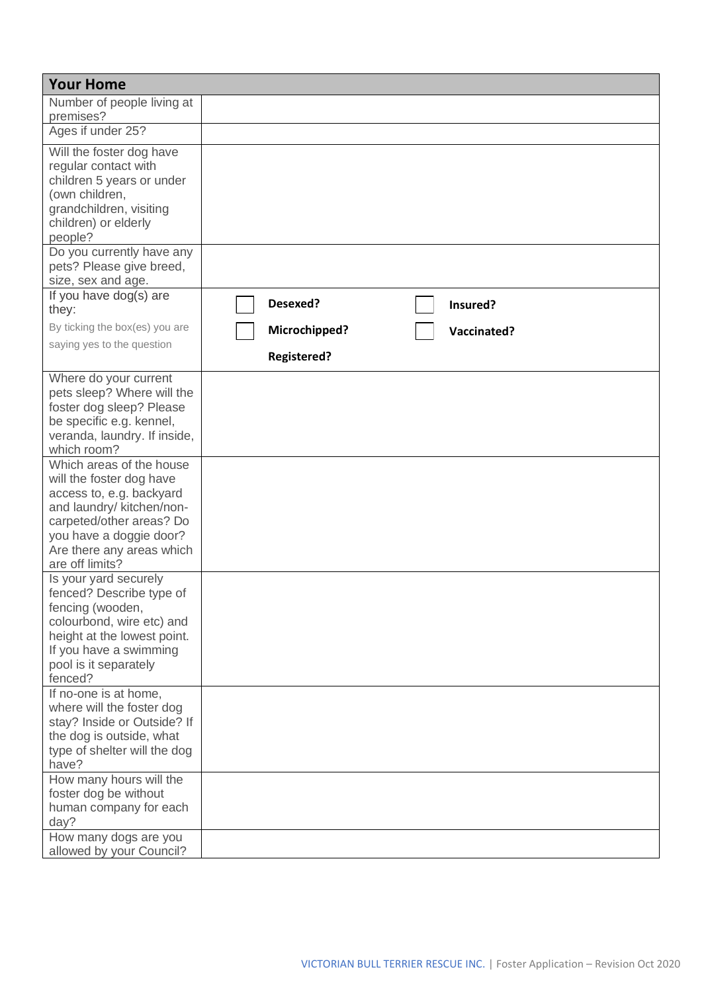| <b>Your Home</b>                                                                                                                                                                                                                                                                                                                                                                                                                                                                                                                                                                      |                                     |
|---------------------------------------------------------------------------------------------------------------------------------------------------------------------------------------------------------------------------------------------------------------------------------------------------------------------------------------------------------------------------------------------------------------------------------------------------------------------------------------------------------------------------------------------------------------------------------------|-------------------------------------|
| Number of people living at<br>premises?                                                                                                                                                                                                                                                                                                                                                                                                                                                                                                                                               |                                     |
| Ages if under 25?                                                                                                                                                                                                                                                                                                                                                                                                                                                                                                                                                                     |                                     |
| Will the foster dog have<br>regular contact with<br>children 5 years or under<br>(own children,<br>grandchildren, visiting<br>children) or elderly<br>people?                                                                                                                                                                                                                                                                                                                                                                                                                         |                                     |
| Do you currently have any<br>pets? Please give breed,<br>size, sex and age.                                                                                                                                                                                                                                                                                                                                                                                                                                                                                                           |                                     |
| If you have dog(s) are<br>they:                                                                                                                                                                                                                                                                                                                                                                                                                                                                                                                                                       | Desexed?<br>Insured?                |
| By ticking the box(es) you are                                                                                                                                                                                                                                                                                                                                                                                                                                                                                                                                                        | Microchipped?<br><b>Vaccinated?</b> |
| saying yes to the question                                                                                                                                                                                                                                                                                                                                                                                                                                                                                                                                                            | <b>Registered?</b>                  |
| Where do your current<br>pets sleep? Where will the<br>foster dog sleep? Please<br>be specific e.g. kennel,<br>veranda, laundry. If inside,<br>which room?<br>Which areas of the house<br>will the foster dog have<br>access to, e.g. backyard<br>and laundry/ kitchen/non-<br>carpeted/other areas? Do<br>you have a doggie door?<br>Are there any areas which<br>are off limits?<br>Is your yard securely<br>fenced? Describe type of<br>fencing (wooden,<br>colourbond, wire etc) and<br>height at the lowest point.<br>If you have a swimming<br>pool is it separately<br>fenced? |                                     |
| If no-one is at home,<br>where will the foster dog<br>stay? Inside or Outside? If<br>the dog is outside, what<br>type of shelter will the dog<br>have?                                                                                                                                                                                                                                                                                                                                                                                                                                |                                     |
| How many hours will the<br>foster dog be without<br>human company for each<br>day?<br>How many dogs are you                                                                                                                                                                                                                                                                                                                                                                                                                                                                           |                                     |
| allowed by your Council?                                                                                                                                                                                                                                                                                                                                                                                                                                                                                                                                                              |                                     |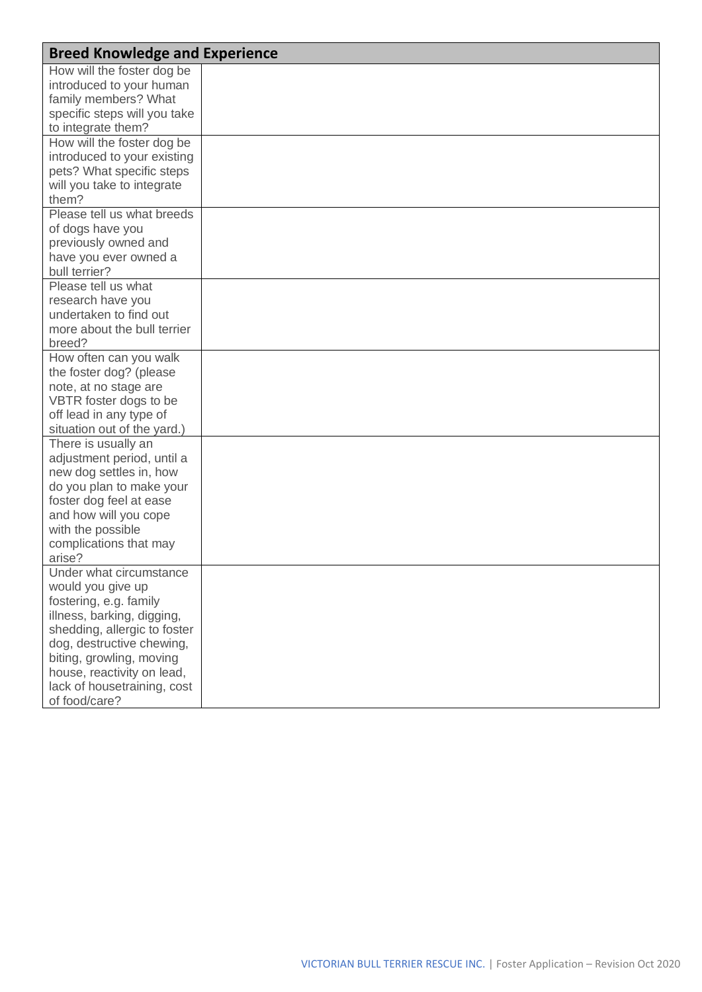| <b>Breed Knowledge and Experience</b> |  |
|---------------------------------------|--|
| How will the foster dog be            |  |
| introduced to your human              |  |
| family members? What                  |  |
| specific steps will you take          |  |
| to integrate them?                    |  |
| How will the foster dog be            |  |
| introduced to your existing           |  |
| pets? What specific steps             |  |
| will you take to integrate            |  |
| them?                                 |  |
| Please tell us what breeds            |  |
| of dogs have you                      |  |
| previously owned and                  |  |
| have you ever owned a                 |  |
| bull terrier?                         |  |
| Please tell us what                   |  |
| research have you                     |  |
| undertaken to find out                |  |
| more about the bull terrier           |  |
| breed?                                |  |
| How often can you walk                |  |
| the foster dog? (please               |  |
| note, at no stage are                 |  |
| VBTR foster dogs to be                |  |
| off lead in any type of               |  |
| situation out of the yard.)           |  |
| There is usually an                   |  |
| adjustment period, until a            |  |
| new dog settles in, how               |  |
| do you plan to make your              |  |
| foster dog feel at ease               |  |
| and how will you cope                 |  |
| with the possible                     |  |
| complications that may                |  |
| arise?                                |  |
| Under what circumstance               |  |
| would you give up                     |  |
| fostering, e.g. family                |  |
| illness, barking, digging,            |  |
| shedding, allergic to foster          |  |
| dog, destructive chewing,             |  |
| biting, growling, moving              |  |
| house, reactivity on lead,            |  |
| lack of housetraining, cost           |  |
| of food/care?                         |  |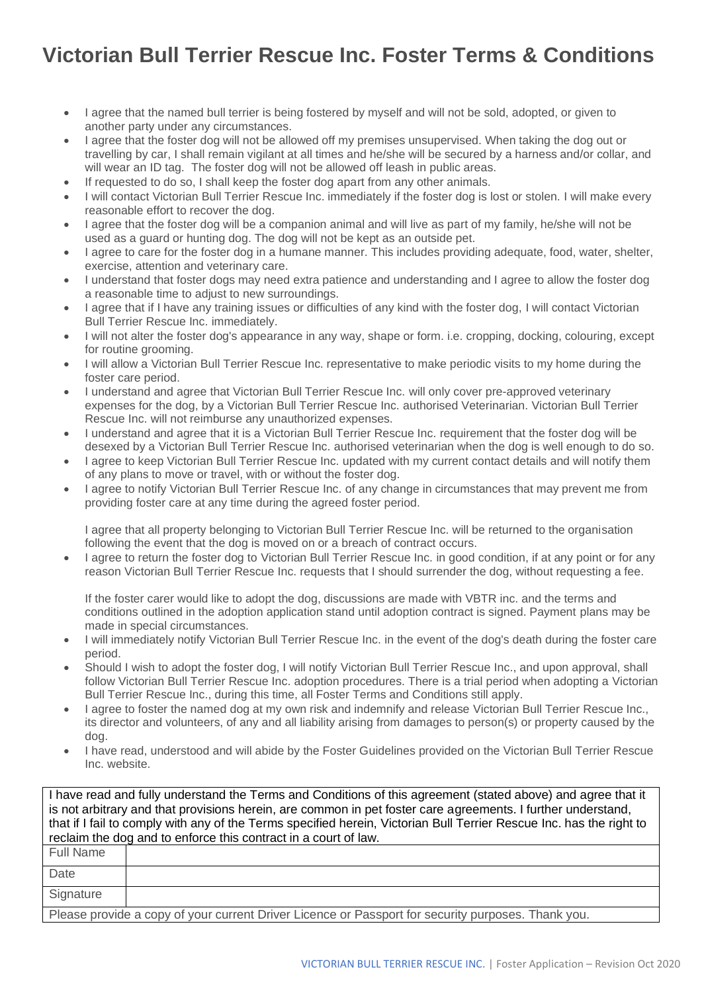## **Victorian Bull Terrier Rescue Inc. Foster Terms & Conditions**

- I agree that the named bull terrier is being fostered by myself and will not be sold, adopted, or given to another party under any circumstances.
- I agree that the foster dog will not be allowed off my premises unsupervised. When taking the dog out or travelling by car, I shall remain vigilant at all times and he/she will be secured by a harness and/or collar, and will wear an ID tag. The foster dog will not be allowed off leash in public areas.
- If requested to do so, I shall keep the foster dog apart from any other animals.
- I will contact Victorian Bull Terrier Rescue Inc. immediately if the foster dog is lost or stolen. I will make every reasonable effort to recover the dog.
- I agree that the foster dog will be a companion animal and will live as part of my family, he/she will not be used as a guard or hunting dog. The dog will not be kept as an outside pet.
- I agree to care for the foster dog in a humane manner. This includes providing adequate, food, water, shelter, exercise, attention and veterinary care.
- I understand that foster dogs may need extra patience and understanding and I agree to allow the foster dog a reasonable time to adjust to new surroundings.
- I agree that if I have any training issues or difficulties of any kind with the foster dog, I will contact Victorian Bull Terrier Rescue Inc. immediately.
- I will not alter the foster dog's appearance in any way, shape or form. i.e. cropping, docking, colouring, except for routine grooming.
- I will allow a Victorian Bull Terrier Rescue Inc. representative to make periodic visits to my home during the foster care period.
- I understand and agree that Victorian Bull Terrier Rescue Inc. will only cover pre-approved veterinary expenses for the dog, by a Victorian Bull Terrier Rescue Inc. authorised Veterinarian. Victorian Bull Terrier Rescue Inc. will not reimburse any unauthorized expenses.
- I understand and agree that it is a Victorian Bull Terrier Rescue Inc. requirement that the foster dog will be desexed by a Victorian Bull Terrier Rescue Inc. authorised veterinarian when the dog is well enough to do so.
- I agree to keep Victorian Bull Terrier Rescue Inc. updated with my current contact details and will notify them of any plans to move or travel, with or without the foster dog.
- I agree to notify Victorian Bull Terrier Rescue Inc. of any change in circumstances that may prevent me from providing foster care at any time during the agreed foster period.

I agree that all property belonging to Victorian Bull Terrier Rescue Inc. will be returned to the organisation following the event that the dog is moved on or a breach of contract occurs.

• I agree to return the foster dog to Victorian Bull Terrier Rescue Inc. in good condition, if at any point or for any reason Victorian Bull Terrier Rescue Inc. requests that I should surrender the dog, without requesting a fee.

If the foster carer would like to adopt the dog, discussions are made with VBTR inc. and the terms and conditions outlined in the adoption application stand until adoption contract is signed. Payment plans may be made in special circumstances.

- I will immediately notify Victorian Bull Terrier Rescue Inc. in the event of the dog's death during the foster care period.
- Should I wish to adopt the foster dog, I will notify Victorian Bull Terrier Rescue Inc., and upon approval, shall follow Victorian Bull Terrier Rescue Inc. adoption procedures. There is a trial period when adopting a Victorian Bull Terrier Rescue Inc., during this time, all Foster Terms and Conditions still apply.
- I agree to foster the named dog at my own risk and indemnify and release Victorian Bull Terrier Rescue Inc., its director and volunteers, of any and all liability arising from damages to person(s) or property caused by the dog.
- I have read, understood and will abide by the Foster Guidelines provided on the Victorian Bull Terrier Rescue Inc. website.

I have read and fully understand the Terms and Conditions of this agreement (stated above) and agree that it is not arbitrary and that provisions herein, are common in pet foster care agreements. I further understand, that if I fail to comply with any of the Terms specified herein, Victorian Bull Terrier Rescue Inc. has the right to reclaim the dog and to enforce this contract in a court of law.

| <b>Full Name</b> |                                                                                                    |
|------------------|----------------------------------------------------------------------------------------------------|
| Date             |                                                                                                    |
| Signature        |                                                                                                    |
|                  | Please provide a copy of your current Driver Licence or Passport for security purposes. Thank you. |